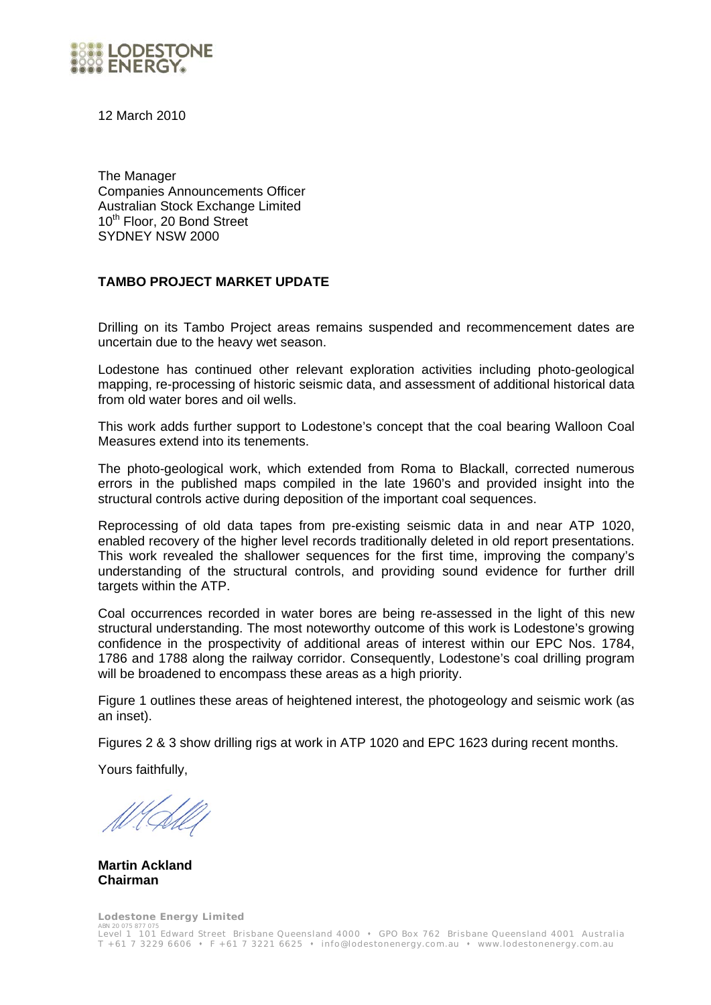

12 March 2010

The Manager Companies Announcements Officer Australian Stock Exchange Limited 10<sup>th</sup> Floor, 20 Bond Street SYDNEY NSW 2000

## **TAMBO PROJECT MARKET UPDATE**

Drilling on its Tambo Project areas remains suspended and recommencement dates are uncertain due to the heavy wet season.

Lodestone has continued other relevant exploration activities including photo-geological mapping, re-processing of historic seismic data, and assessment of additional historical data from old water bores and oil wells.

This work adds further support to Lodestone's concept that the coal bearing Walloon Coal Measures extend into its tenements.

The photo-geological work, which extended from Roma to Blackall, corrected numerous errors in the published maps compiled in the late 1960's and provided insight into the structural controls active during deposition of the important coal sequences.

Reprocessing of old data tapes from pre-existing seismic data in and near ATP 1020, enabled recovery of the higher level records traditionally deleted in old report presentations. This work revealed the shallower sequences for the first time, improving the company's understanding of the structural controls, and providing sound evidence for further drill targets within the ATP.

Coal occurrences recorded in water bores are being re-assessed in the light of this new structural understanding. The most noteworthy outcome of this work is Lodestone's growing confidence in the prospectivity of additional areas of interest within our EPC Nos. 1784, 1786 and 1788 along the railway corridor. Consequently, Lodestone's coal drilling program will be broadened to encompass these areas as a high priority.

Figure 1 outlines these areas of heightened interest, the photogeology and seismic work (as an inset).

Figures 2 & 3 show drilling rigs at work in ATP 1020 and EPC 1623 during recent months.

Yours faithfully,

**Martin Ackland Chairman**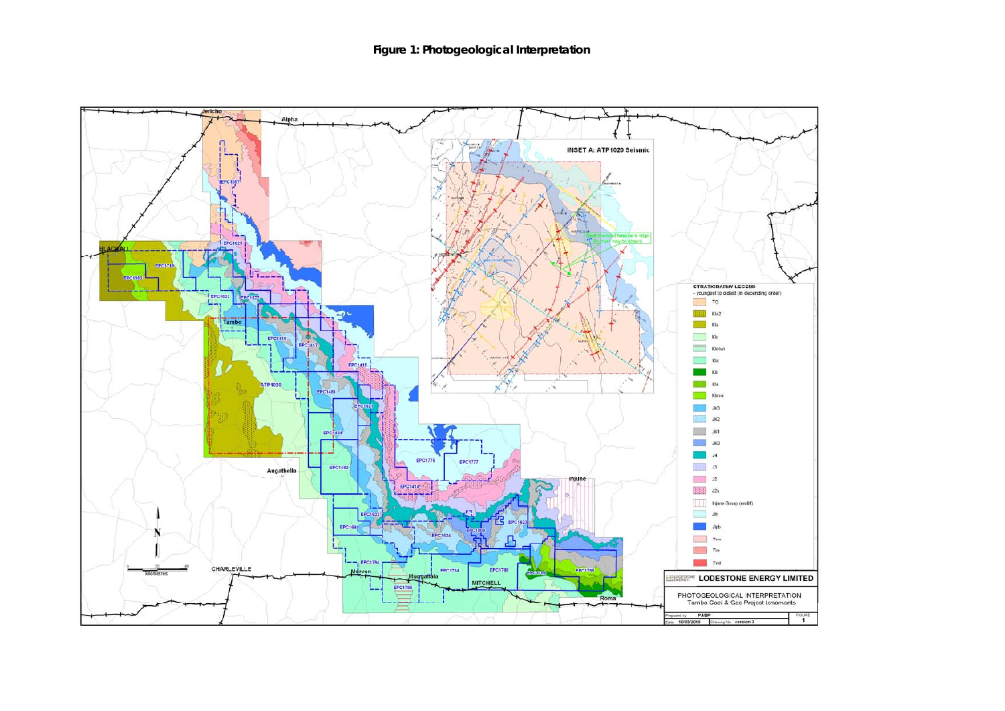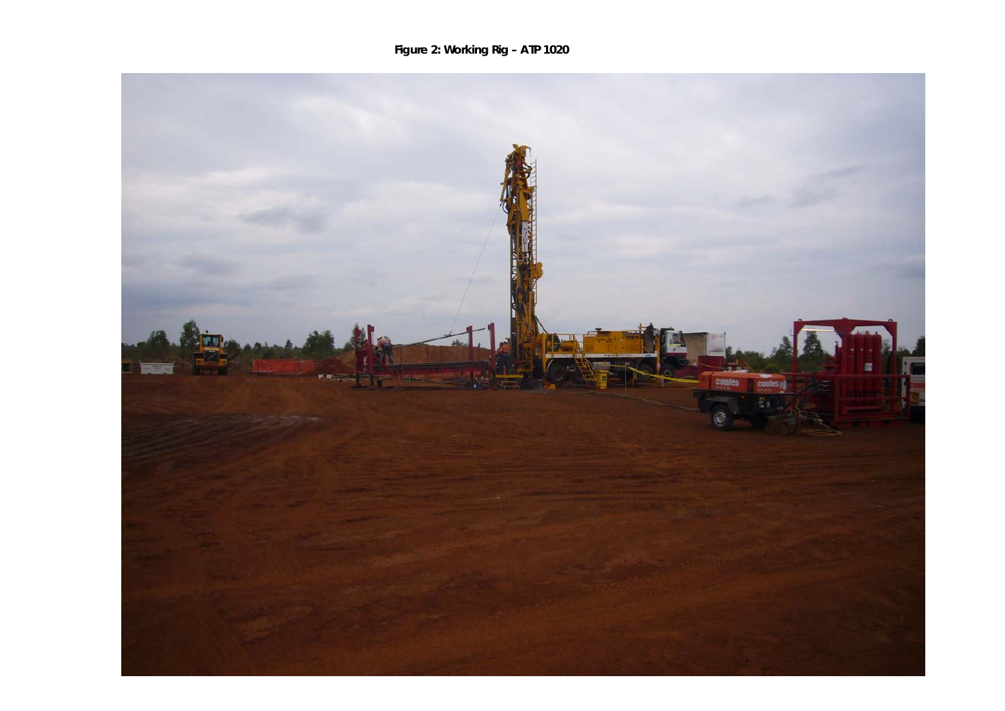